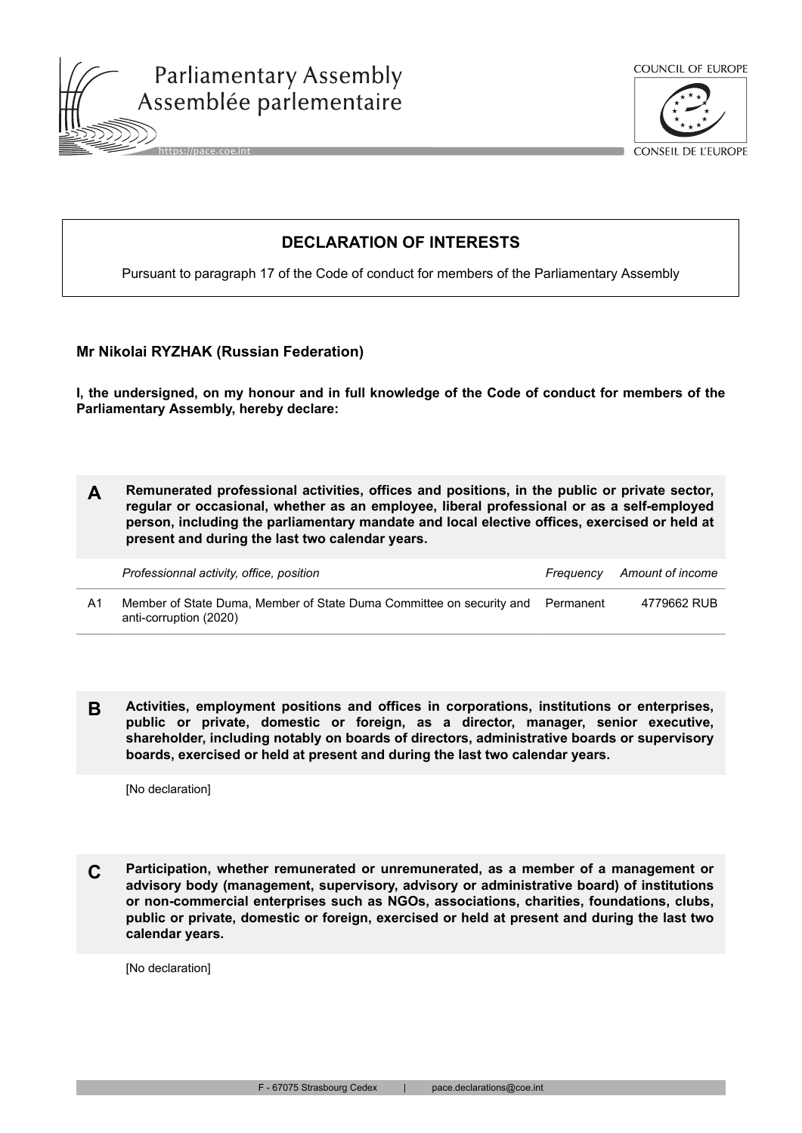



**CONSEIL DE L'EUROPE** 

## **DECLARATION OF INTERESTS**

Pursuant to paragraph 17 of the Code of conduct for members of the Parliamentary Assembly

## **Mr Nikolai RYZHAK (Russian Federation)**

**I, the undersigned, on my honour and in full knowledge of the Code of conduct for members of the Parliamentary Assembly, hereby declare:**

**A Remunerated professional activities, offices and positions, in the public or private sector, regular or occasional, whether as an employee, liberal professional or as a self-employed person, including the parliamentary mandate and local elective offices, exercised or held at present and during the last two calendar years.**

|    | Professionnal activity, office, position                                                                 | Freauencv | Amount of income |
|----|----------------------------------------------------------------------------------------------------------|-----------|------------------|
| Α1 | Member of State Duma, Member of State Duma Committee on security and Permanent<br>anti-corruption (2020) |           | 4779662 RUB      |

**B Activities, employment positions and offices in corporations, institutions or enterprises, public or private, domestic or foreign, as a director, manager, senior executive, shareholder, including notably on boards of directors, administrative boards or supervisory boards, exercised or held at present and during the last two calendar years.**

[No declaration]

**C Participation, whether remunerated or unremunerated, as a member of a management or advisory body (management, supervisory, advisory or administrative board) of institutions or non-commercial enterprises such as NGOs, associations, charities, foundations, clubs, public or private, domestic or foreign, exercised or held at present and during the last two calendar years.**

[No declaration]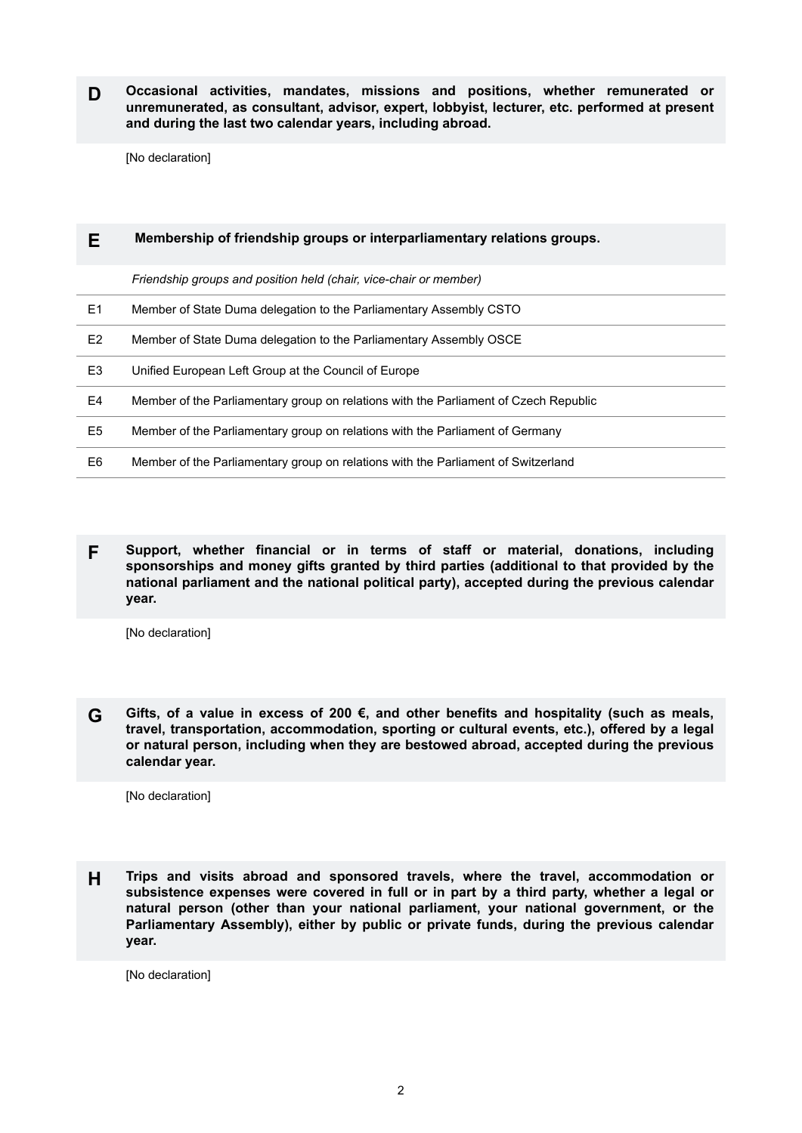**D Occasional activities, mandates, missions and positions, whether remunerated or unremunerated, as consultant, advisor, expert, lobbyist, lecturer, etc. performed at present and during the last two calendar years, including abroad.**

[No declaration]

|                | Membership of friendship groups or interparliamentary relations groups.              |  |
|----------------|--------------------------------------------------------------------------------------|--|
|                | Friendship groups and position held (chair, vice-chair or member)                    |  |
| E <sub>1</sub> | Member of State Duma delegation to the Parliamentary Assembly CSTO                   |  |
| E <sub>2</sub> | Member of State Duma delegation to the Parliamentary Assembly OSCE                   |  |
| E3             | Unified European Left Group at the Council of Europe                                 |  |
| E4             | Member of the Parliamentary group on relations with the Parliament of Czech Republic |  |
| E5             | Member of the Parliamentary group on relations with the Parliament of Germany        |  |
| E6             | Member of the Parliamentary group on relations with the Parliament of Switzerland    |  |
|                |                                                                                      |  |

**F Support, whether financial or in terms of staff or material, donations, including sponsorships and money gifts granted by third parties (additional to that provided by the national parliament and the national political party), accepted during the previous calendar year.**

[No declaration]

**G Gifts, of a value in excess of 200 €, and other benefits and hospitality (such as meals, travel, transportation, accommodation, sporting or cultural events, etc.), offered by a legal or natural person, including when they are bestowed abroad, accepted during the previous calendar year.**

[No declaration]

**H Trips and visits abroad and sponsored travels, where the travel, accommodation or subsistence expenses were covered in full or in part by a third party, whether a legal or natural person (other than your national parliament, your national government, or the Parliamentary Assembly), either by public or private funds, during the previous calendar year.**

[No declaration]